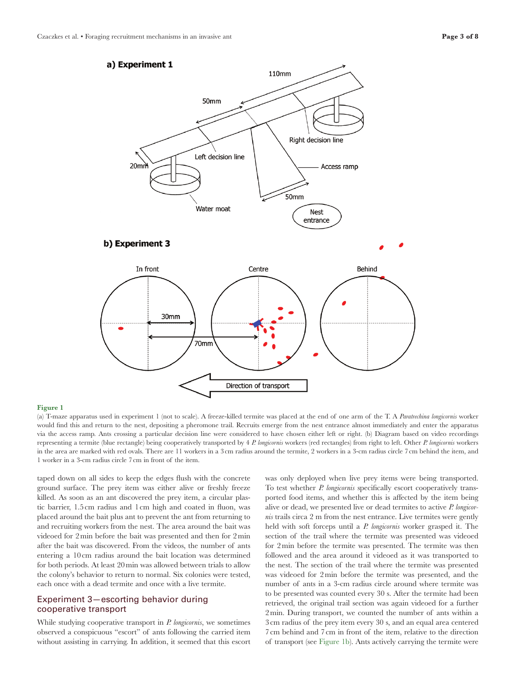

#### <span id="page-2-0"></span>Figure 1

(a) T-maze apparatus used in experiment 1 (not to scale). A freeze-killed termite was placed at the end of one arm of the T. A *Paratrechina longicornis* worker would find this and return to the nest, depositing a pheromone trail. Recruits emerge from the nest entrance almost immediately and enter the apparatus via the access ramp. Ants crossing a particular decision line were considered to have chosen either left or right. (b) Diagram based on video recordings representing a termite (blue rectangle) being cooperatively transported by 4 *P. longicornis* workers (red rectangles) from right to left. Other *P. longicornis* workers in the area are marked with red ovals. There are 11 workers in a 3cm radius around the termite, 2 workers in a 3-cm radius circle 7cm behind the item, and 1 worker in a 3-cm radius circle 7 cm in front of the item.

taped down on all sides to keep the edges flush with the concrete ground surface. The prey item was either alive or freshly freeze killed. As soon as an ant discovered the prey item, a circular plastic barrier, 1.5 cm radius and 1 cm high and coated in fluon, was placed around the bait plus ant to prevent the ant from returning to and recruiting workers from the nest. The area around the bait was videoed for 2min before the bait was presented and then for 2min after the bait was discovered. From the videos, the number of ants entering a 10cm radius around the bait location was determined for both periods. At least 20min was allowed between trials to allow the colony's behavior to return to normal. Six colonies were tested, each once with a dead termite and once with a live termite.

## Experiment 3—escorting behavior during cooperative transport

While studying cooperative transport in *P. longicornis*, we sometimes observed a conspicuous "escort" of ants following the carried item without assisting in carrying. In addition, it seemed that this escort was only deployed when live prey items were being transported. To test whether *P. longicornis* specifically escort cooperatively transported food items, and whether this is affected by the item being alive or dead, we presented live or dead termites to active *P. longicornis* trails circa 2 m from the nest entrance. Live termites were gently held with soft forceps until a *P. longicornis* worker grasped it. The section of the trail where the termite was presented was videoed for 2min before the termite was presented. The termite was then followed and the area around it videoed as it was transported to the nest. The section of the trail where the termite was presented was videoed for 2min before the termite was presented, and the number of ants in a 3-cm radius circle around where termite was to be presented was counted every 30 s. After the termite had been retrieved, the original trail section was again videoed for a further 2min. During transport, we counted the number of ants within a 3cm radius of the prey item every 30 s, and an equal area centered 7cm behind and 7cm in front of the item, relative to the direction of transport (see [Figure 1b\)](#page-2-0). Ants actively carrying the termite were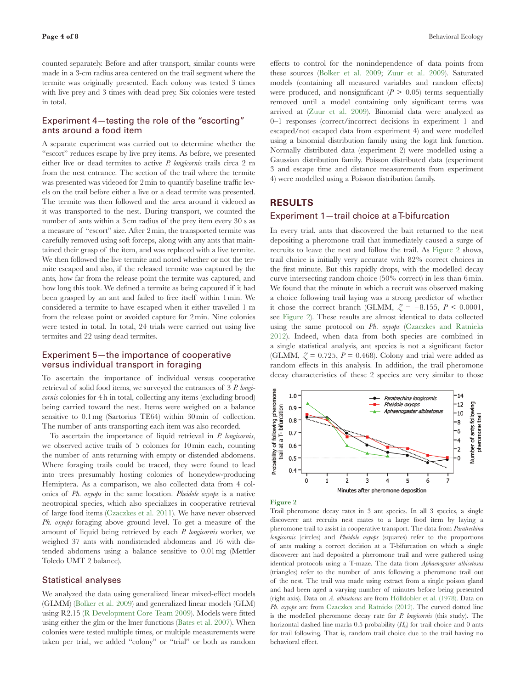counted separately. Before and after transport, similar counts were made in a 3-cm radius area centered on the trail segment where the termite was originally presented. Each colony was tested 3 times with live prey and 3 times with dead prey. Six colonies were tested in total.

### Experiment 4—testing the role of the "escorting" ants around a food item

A separate experiment was carried out to determine whether the "escort" reduces escape by live prey items. As before, we presented either live or dead termites to active *P. longicornis* trails circa 2 m from the nest entrance. The section of the trail where the termite was presented was videoed for 2min to quantify baseline traffic levels on the trail before either a live or a dead termite was presented. The termite was then followed and the area around it videoed as it was transported to the nest. During transport, we counted the number of ants within a 3 cm radius of the prey item every 30 s as a measure of "escort" size. After 2min, the transported termite was carefully removed using soft forceps, along with any ants that maintained their grasp of the item, and was replaced with a live termite. We then followed the live termite and noted whether or not the termite escaped and also, if the released termite was captured by the ants, how far from the release point the termite was captured, and how long this took. We defined a termite as being captured if it had been grasped by an ant and failed to free itself within 1min. We considered a termite to have escaped when it either travelled 1 m from the release point or avoided capture for 2min. Nine colonies were tested in total. In total, 24 trials were carried out using live termites and 22 using dead termites.

## Experiment 5—the importance of cooperative versus individual transport in foraging

To ascertain the importance of individual versus cooperative retrieval of solid food items, we surveyed the entrances of 3 *P. longicornis* colonies for 4h in total, collecting any items (excluding brood) being carried toward the nest. Items were weighed on a balance sensitive to 0.1mg (Sartorius TE64) within 30min of collection. The number of ants transporting each item was also recorded.

To ascertain the importance of liquid retrieval in *P. longicornis*, we observed active trails of 5 colonies for 10min each, counting the number of ants returning with empty or distended abdomens. Where foraging trails could be traced, they were found to lead into trees presumably hosting colonies of honeydew-producing Hemiptera. As a comparison, we also collected data from 4 colonies of *Ph. oxyops* in the same location. *Pheidole oxyops* is a native neotropical species, which also specializes in cooperative retrieval of large food items [\(Czaczkes et al. 2011\)](#page-7-0). We have never observed *Ph. oxyops* foraging above ground level. To get a measure of the amount of liquid being retrieved by each *P. longicornis* worker, we weighed 37 ants with nondistended abdomens and 16 with distended abdomens using a balance sensitive to 0.01mg (Mettler Toledo UMT 2 balance).

### Statistical analyses

We analyzed the data using generalized linear mixed-effect models (GLMM) [\(Bolker et al. 2009\)](#page-7-1) and generalized linear models (GLM) using R2.15 [\(R Development Core Team 2009](#page-7-2)). Models were fitted using either the glm or the lmer functions [\(Bates et al. 2007](#page-7-3)). When colonies were tested multiple times, or multiple measurements were taken per trial, we added "colony" or "trial" or both as random

effects to control for the nonindependence of data points from these sources ([Bolker et al. 2009;](#page-7-1) [Zuur et al. 2009\)](#page-7-4). Saturated models (containing all measured variables and random effects) were produced, and nonsignificant  $(P > 0.05)$  terms sequentially removed until a model containing only significant terms was arrived at [\(Zuur et al. 2009](#page-7-4)). Binomial data were analyzed as 0–1 responses (correct/incorrect decisions in experiment 1 and escaped/not escaped data from experiment 4) and were modelled using a binomial distribution family using the logit link function. Normally distributed data (experiment 2) were modelled using a Gaussian distribution family. Poisson distributed data (experiment 3 and escape time and distance measurements from experiment 4) were modelled using a Poisson distribution family.

## **Results**

### Experiment 1—trail choice at a T-bifurcation

In every trial, ants that discovered the bait returned to the nest depositing a pheromone trail that immediately caused a surge of recruits to leave the nest and follow the trail. As [Figure 2](#page-3-0) shows, trail choice is initially very accurate with 82% correct choices in the first minute. But this rapidly drops, with the modelled decay curve intersecting random choice (50% correct) in less than 6 min. We found that the minute in which a recruit was observed making a choice following trail laying was a strong predictor of whether it chose the correct branch (GLMM,  $\zeta = -8.155$ ,  $P < 0.0001$ , see [Figure 2\)](#page-3-0). These results are almost identical to data collected using the same protocol on *Ph. oxyops* [\(Czaczkes and Ratnieks](#page-7-5)  [2012](#page-7-5)). Indeed, when data from both species are combined in a single statistical analysis, ant species is not a significant factor (GLMM,  $\zeta = 0.725$ ,  $P = 0.468$ ). Colony and trial were added as random effects in this analysis. In addition, the trail pheromone decay characteristics of these 2 species are very similar to those



<span id="page-3-0"></span>Figure 2

Trail pheromone decay rates in 3 ant species. In all 3 species, a single discoverer ant recruits nest mates to a large food item by laying a pheromone trail to assist in cooperative transport. The data from *Paratrechina longicornis* (circles) and *Pheidole oxyops* (squares) refer to the proportions of ants making a correct decision at a T-bifurcation on which a single discoverer ant had deposited a pheromone trail and were gathered using identical protocols using a T-maze. The data from *Aphaenogaster albisetosus* (triangles) refer to the number of ants following a pheromone trail out of the nest. The trail was made using extract from a single poison gland and had been aged a varying number of minutes before being presented (right axis). Data on *A. albisetosus* are from [Hölldobler et al. \(1978\).](#page-7-6) Data on *Ph. oxyops* are from [Czaczkes and Ratnieks \(2012\).](#page-7-5) The curved dotted line is the modelled pheromone decay rate for *P. longicornis* (this study). The horizontal dashed line marks 0.5 probability  $(H_0)$  for trail choice and 0 ants for trail following. That is, random trail choice due to the trail having no behavioral effect.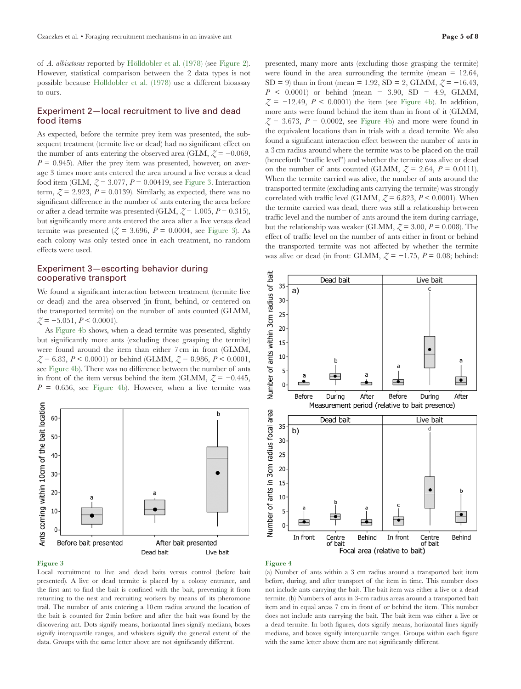of *A. albisetosus* reported by [Hölldobler et al. \(1978\)](#page-7-6) (see [Figure 2\)](#page-3-0). However, statistical comparison between the 2 data types is not possible because [Hölldobler et al. \(1978\)](#page-7-6) use a different bioassay to ours.

## Experiment 2—local recruitment to live and dead food items

As expected, before the termite prey item was presented, the subsequent treatment (termite live or dead) had no significant effect on the number of ants entering the observed area (GLM,  $\zeta = -0.069$ ,  $P = 0.945$ . After the prey item was presented, however, on average 3 times more ants entered the area around a live versus a dead food item (GLM,  $\zeta = 3.077$ ,  $P = 0.00419$ , see [Figure 3.](#page-4-0) Interaction term,  $\zeta$  = 2.923, *P* = 0.0139). Similarly, as expected, there was no significant difference in the number of ants entering the area before or after a dead termite was presented (GLM,  $\zeta = 1.005$ ,  $P = 0.315$ ), but significantly more ants entered the area after a live versus dead termite was presented  $(Z = 3.696, P = 0.0004, \text{ see Figure 3}).$  As each colony was only tested once in each treatment, no random effects were used.

# Experiment 3—escorting behavior during cooperative transport

We found a significant interaction between treatment (termite live or dead) and the area observed (in front, behind, or centered on the transported termite) on the number of ants counted (GLMM, *Z* = −5.051, *P* < 0.0001).

As [Figure 4b](#page-4-1) shows, when a dead termite was presented, slightly but significantly more ants (excluding those grasping the termite) were found around the item than either 7cm in front (GLMM,  $\zeta = 6.83, P < 0.0001$  or behind (GLMM,  $\zeta = 8.986, P < 0.0001$ , see [Figure 4b](#page-4-1)). There was no difference between the number of ants in front of the item versus behind the item (GLMM,  $\zeta = -0.445$ ,  $P = 0.656$ , see Figure 4b). However, when a live termite was



### <span id="page-4-0"></span>Figure 3

Local recruitment to live and dead baits versus control (before bait presented). A live or dead termite is placed by a colony entrance, and the first ant to find the bait is confined with the bait, preventing it from returning to the nest and recruiting workers by means of its pheromone trail. The number of ants entering a 10cm radius around the location of the bait is counted for 2min before and after the bait was found by the discovering ant. Dots signify means, horizontal lines signify medians, boxes signify interquartile ranges, and whiskers signify the general extent of the data. Groups with the same letter above are not significantly different.

presented, many more ants (excluding those grasping the termite) were found in the area surrounding the termite (mean  $= 12.64$ , SD = 9) than in front (mean = 1.92, SD = 2, GLMM,  $\zeta$  = -16.43, *P* < 0.0001) or behind (mean = 3.90, SD = 4.9, GLMM,  $\zeta$  = -12.49, *P* < 0.0001) the item (see Figure 4b). In addition, more ants were found behind the item than in front of it (GLMM,  $\zeta = 3.673$ ,  $P = 0.0002$ , see Figure 4b) and more were found in the equivalent locations than in trials with a dead termite. We also found a significant interaction effect between the number of ants in a 3cm radius around where the termite was to be placed on the trail (henceforth "traffic level") and whether the termite was alive or dead on the number of ants counted (GLMM,  $\zeta = 2.64$ ,  $P = 0.0111$ ). When the termite carried was alive, the number of ants around the transported termite (excluding ants carrying the termite) was strongly correlated with traffic level (GLMM,  $\zeta = 6.823$ ,  $P < 0.0001$ ). When the termite carried was dead, there was still a relationship between traffic level and the number of ants around the item during carriage, but the relationship was weaker (GLMM,  $\zeta = 3.00$ ,  $P = 0.008$ ). The effect of traffic level on the number of ants either in front or behind the transported termite was not affected by whether the termite was alive or dead (in front: GLMM,  $\zeta = -1.75$ ,  $P = 0.08$ ; behind:



### <span id="page-4-1"></span>Figure 4

(a) Number of ants within a 3 cm radius around a transported bait item before, during, and after transport of the item in time. This number does not include ants carrying the bait. The bait item was either a live or a dead termite. (b) Numbers of ants in 3-cm radius areas around a transported bait item and in equal areas 7 cm in front of or behind the item. This number does not include ants carrying the bait. The bait item was either a live or a dead termite. In both figures, dots signify means, horizontal lines signify medians, and boxes signify interquartile ranges. Groups within each figure with the same letter above them are not significantly different.